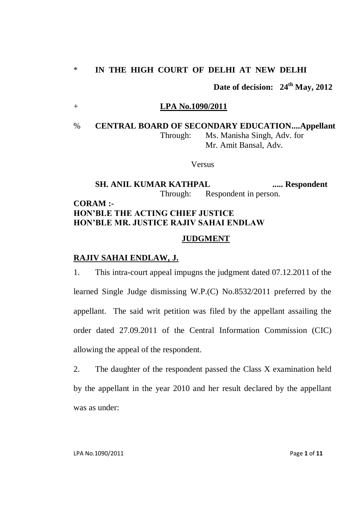## \* **IN THE HIGH COURT OF DELHI AT NEW DELHI**

**Date of decision: 24th May, 2012**

### + **LPA No.1090/2011**

% **CENTRAL BOARD OF SECONDARY EDUCATION....Appellant**  Through: Ms. Manisha Singh, Adv. for Mr. Amit Bansal, Adv.

### Versus

# **SH. ANIL KUMAR KATHPAL ...... Respondent** Through: Respondent in person. **CORAM :-**

# **HON'BLE THE ACTING CHIEF JUSTICE HON'BLE MR. JUSTICE RAJIV SAHAI ENDLAW**

#### **JUDGMENT**

## **RAJIV SAHAI ENDLAW, J.**

1. This intra-court appeal impugns the judgment dated 07.12.2011 of the learned Single Judge dismissing W.P.(C) No.8532/2011 preferred by the appellant. The said writ petition was filed by the appellant assailing the order dated 27.09.2011 of the Central Information Commission (CIC) allowing the appeal of the respondent.

2. The daughter of the respondent passed the Class X examination held by the appellant in the year 2010 and her result declared by the appellant was as under: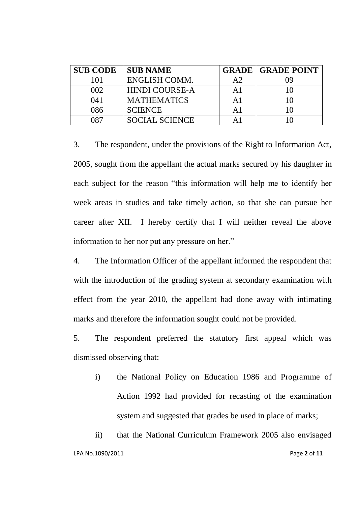| <b>SUB CODE</b> | <b>SUB NAME</b>       |    | <b>GRADE   GRADE POINT</b> |
|-----------------|-----------------------|----|----------------------------|
| 101             | ENGLISH COMM.         | A2 |                            |
| 002             | <b>HINDI COURSE-A</b> |    |                            |
| 041             | <b>MATHEMATICS</b>    | Αl |                            |
| 086             | <b>SCIENCE</b>        |    |                            |
| በጸ7             | <b>SOCIAL SCIENCE</b> |    |                            |

3. The respondent, under the provisions of the Right to Information Act, 2005, sought from the appellant the actual marks secured by his daughter in each subject for the reason "this information will help me to identify her week areas in studies and take timely action, so that she can pursue her career after XII. I hereby certify that I will neither reveal the above information to her nor put any pressure on her."

4. The Information Officer of the appellant informed the respondent that with the introduction of the grading system at secondary examination with effect from the year 2010, the appellant had done away with intimating marks and therefore the information sought could not be provided.

5. The respondent preferred the statutory first appeal which was dismissed observing that:

i) the National Policy on Education 1986 and Programme of Action 1992 had provided for recasting of the examination system and suggested that grades be used in place of marks;

LPA No.1090/2011 Page **2** of **11** ii) that the National Curriculum Framework 2005 also envisaged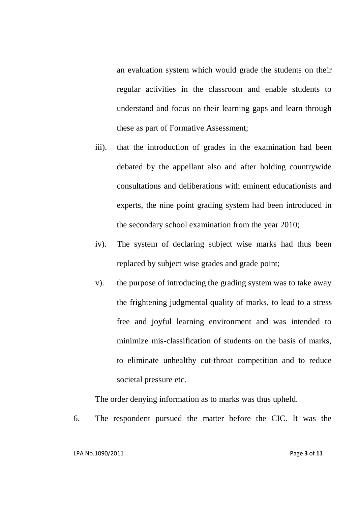an evaluation system which would grade the students on their regular activities in the classroom and enable students to understand and focus on their learning gaps and learn through these as part of Formative Assessment;

- iii). that the introduction of grades in the examination had been debated by the appellant also and after holding countrywide consultations and deliberations with eminent educationists and experts, the nine point grading system had been introduced in the secondary school examination from the year 2010;
- iv). The system of declaring subject wise marks had thus been replaced by subject wise grades and grade point;
- v). the purpose of introducing the grading system was to take away the frightening judgmental quality of marks, to lead to a stress free and joyful learning environment and was intended to minimize mis-classification of students on the basis of marks, to eliminate unhealthy cut-throat competition and to reduce societal pressure etc.

The order denying information as to marks was thus upheld.

6. The respondent pursued the matter before the CIC. It was the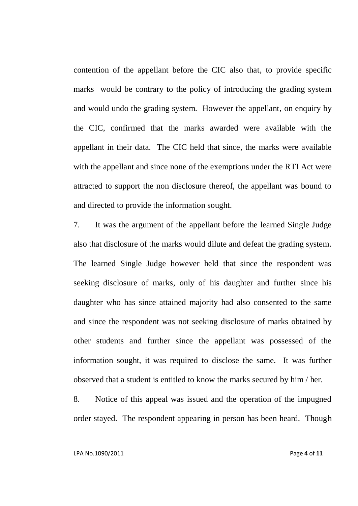contention of the appellant before the CIC also that, to provide specific marks would be contrary to the policy of introducing the grading system and would undo the grading system. However the appellant, on enquiry by the CIC, confirmed that the marks awarded were available with the appellant in their data. The CIC held that since, the marks were available with the appellant and since none of the exemptions under the RTI Act were attracted to support the non disclosure thereof, the appellant was bound to and directed to provide the information sought.

7. It was the argument of the appellant before the learned Single Judge also that disclosure of the marks would dilute and defeat the grading system. The learned Single Judge however held that since the respondent was seeking disclosure of marks, only of his daughter and further since his daughter who has since attained majority had also consented to the same and since the respondent was not seeking disclosure of marks obtained by other students and further since the appellant was possessed of the information sought, it was required to disclose the same. It was further observed that a student is entitled to know the marks secured by him / her.

8. Notice of this appeal was issued and the operation of the impugned order stayed. The respondent appearing in person has been heard. Though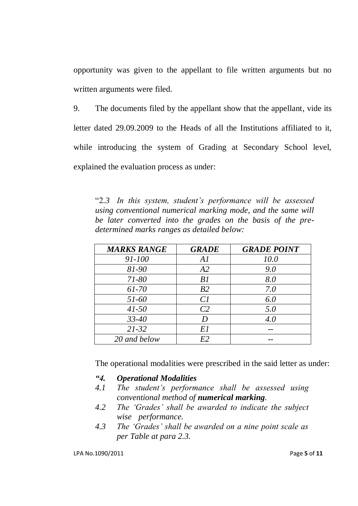opportunity was given to the appellant to file written arguments but no written arguments were filed.

9. The documents filed by the appellant show that the appellant, vide its letter dated 29.09.2009 to the Heads of all the Institutions affiliated to it, while introducing the system of Grading at Secondary School level, explained the evaluation process as under:

"2*.3 In this system, student's performance will be assessed using conventional numerical marking mode, and the same will be later converted into the grades on the basis of the predetermined marks ranges as detailed below:*

| <b>MARKS RANGE</b> | <b>GRADE</b>   | <b>GRADE POINT</b> |
|--------------------|----------------|--------------------|
| 91-100             | Al             | 10.0               |
| 81-90              | A2             | 9.0                |
| $71 - 80$          | B1             | 8.0                |
| 61-70              | B2             | 7.0                |
| $51 - 60$          | Cl             | 6.0                |
| $41 - 50$          | C <sub>2</sub> | 5.0                |
| $33 - 40$          | I)             | 4.0                |
| $21 - 32$          | E1             |                    |
| 20 and below       | E2             |                    |

The operational modalities were prescribed in the said letter as under:

- *"4. Operational Modalities*
- *4.1 The student's performance shall be assessed using conventional method of numerical marking.*
- *4.2 The 'Grades' shall be awarded to indicate the subject wise performance.*
- *4.3 The 'Grades' shall be awarded on a nine point scale as per Table at para 2.3.*

LPA No.1090/2011 Page **5** of **11**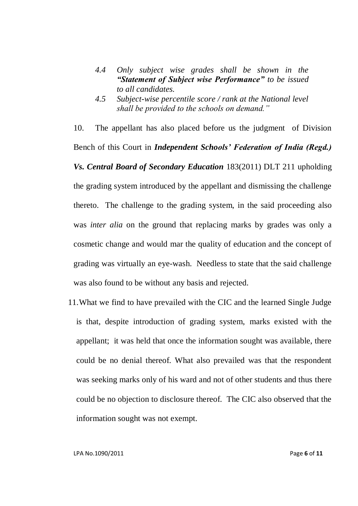- *4.4 Only subject wise grades shall be shown in the "Statement of Subject wise Performance" to be issued to all candidates.*
- *4.5 Subject-wise percentile score / rank at the National level shall be provided to the schools on demand."*

10. The appellant has also placed before us the judgment of Division Bench of this Court in *Independent Schools' Federation of India (Regd.) Vs. Central Board of Secondary Education* 183(2011) DLT 211 upholding the grading system introduced by the appellant and dismissing the challenge thereto. The challenge to the grading system, in the said proceeding also was *inter alia* on the ground that replacing marks by grades was only a cosmetic change and would mar the quality of education and the concept of grading was virtually an eye-wash. Needless to state that the said challenge was also found to be without any basis and rejected.

11.What we find to have prevailed with the CIC and the learned Single Judge is that, despite introduction of grading system, marks existed with the appellant; it was held that once the information sought was available, there could be no denial thereof. What also prevailed was that the respondent was seeking marks only of his ward and not of other students and thus there could be no objection to disclosure thereof. The CIC also observed that the information sought was not exempt.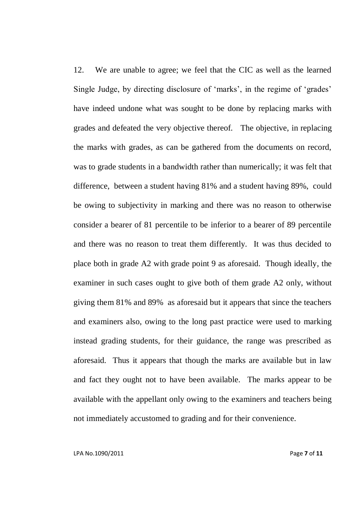12. We are unable to agree; we feel that the CIC as well as the learned Single Judge, by directing disclosure of 'marks', in the regime of 'grades' have indeed undone what was sought to be done by replacing marks with grades and defeated the very objective thereof. The objective, in replacing the marks with grades, as can be gathered from the documents on record, was to grade students in a bandwidth rather than numerically; it was felt that difference, between a student having 81% and a student having 89%, could be owing to subjectivity in marking and there was no reason to otherwise consider a bearer of 81 percentile to be inferior to a bearer of 89 percentile and there was no reason to treat them differently. It was thus decided to place both in grade A2 with grade point 9 as aforesaid. Though ideally, the examiner in such cases ought to give both of them grade A2 only, without giving them 81% and 89% as aforesaid but it appears that since the teachers and examiners also, owing to the long past practice were used to marking instead grading students, for their guidance, the range was prescribed as aforesaid. Thus it appears that though the marks are available but in law and fact they ought not to have been available. The marks appear to be available with the appellant only owing to the examiners and teachers being not immediately accustomed to grading and for their convenience.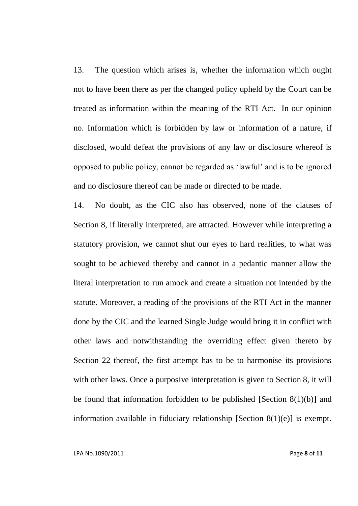13. The question which arises is, whether the information which ought not to have been there as per the changed policy upheld by the Court can be treated as information within the meaning of the RTI Act. In our opinion no. Information which is forbidden by law or information of a nature, if disclosed, would defeat the provisions of any law or disclosure whereof is opposed to public policy, cannot be regarded as "lawful" and is to be ignored and no disclosure thereof can be made or directed to be made.

14. No doubt, as the CIC also has observed, none of the clauses of Section 8, if literally interpreted, are attracted. However while interpreting a statutory provision, we cannot shut our eyes to hard realities, to what was sought to be achieved thereby and cannot in a pedantic manner allow the literal interpretation to run amock and create a situation not intended by the statute. Moreover, a reading of the provisions of the RTI Act in the manner done by the CIC and the learned Single Judge would bring it in conflict with other laws and notwithstanding the overriding effect given thereto by Section 22 thereof, the first attempt has to be to harmonise its provisions with other laws. Once a purposive interpretation is given to Section 8, it will be found that information forbidden to be published [Section 8(1)(b)] and information available in fiduciary relationship [Section 8(1)(e)] is exempt.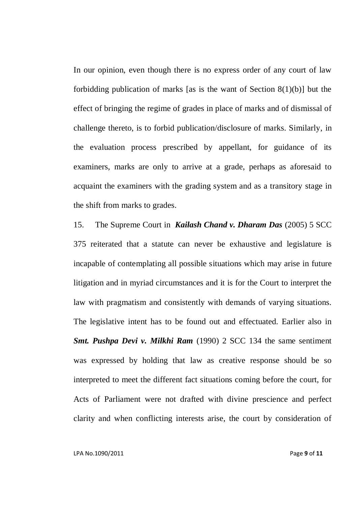In our opinion, even though there is no express order of any court of law forbidding publication of marks [as is the want of Section 8(1)(b)] but the effect of bringing the regime of grades in place of marks and of dismissal of challenge thereto, is to forbid publication/disclosure of marks. Similarly, in the evaluation process prescribed by appellant, for guidance of its examiners, marks are only to arrive at a grade, perhaps as aforesaid to acquaint the examiners with the grading system and as a transitory stage in the shift from marks to grades.

15. The Supreme Court in *Kailash Chand v. Dharam Das* (2005) 5 SCC 375 reiterated that a statute can never be exhaustive and legislature is incapable of contemplating all possible situations which may arise in future litigation and in myriad circumstances and it is for the Court to interpret the law with pragmatism and consistently with demands of varying situations. The legislative intent has to be found out and effectuated. Earlier also in *Smt. Pushpa Devi v. Milkhi Ram* (1990) 2 SCC 134 the same sentiment was expressed by holding that law as creative response should be so interpreted to meet the different fact situations coming before the court, for Acts of Parliament were not drafted with divine prescience and perfect clarity and when conflicting interests arise, the court by consideration of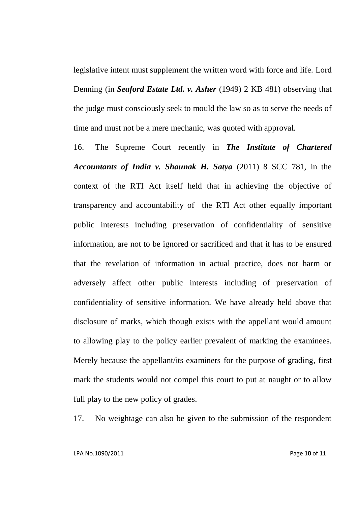legislative intent must supplement the written word with force and life. Lord Denning (in *Seaford Estate Ltd. v. Asher* (1949) 2 KB 481) observing that the judge must consciously seek to mould the law so as to serve the needs of time and must not be a mere mechanic, was quoted with approval.

16. The Supreme Court recently in *The Institute of Chartered Accountants of India v. Shaunak H. Satya* (2011) 8 SCC 781, in the context of the RTI Act itself held that in achieving the objective of transparency and accountability of the RTI Act other equally important public interests including preservation of confidentiality of sensitive information, are not to be ignored or sacrificed and that it has to be ensured that the revelation of information in actual practice, does not harm or adversely affect other public interests including of preservation of confidentiality of sensitive information. We have already held above that disclosure of marks, which though exists with the appellant would amount to allowing play to the policy earlier prevalent of marking the examinees. Merely because the appellant/its examiners for the purpose of grading, first mark the students would not compel this court to put at naught or to allow full play to the new policy of grades.

17. No weightage can also be given to the submission of the respondent